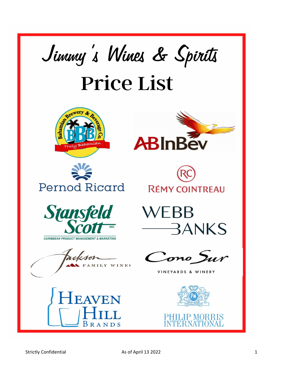











CARIBBEAN PRODUCT MANAGEMENT & MARKETING

**FAMILY WINES** 





Cono Sur

## VINEYARDS & WINERY

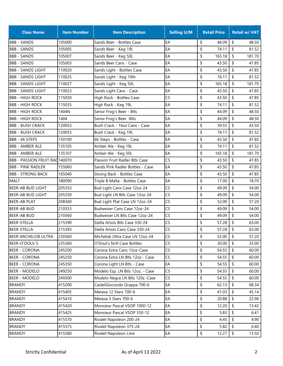| <b>Class Name</b>                     | <b>Item Number</b> | <b>Item Description</b>          | <b>Selling U/M</b> | <b>Retail Price</b> | <b>Retail w/ VAT</b>                |
|---------------------------------------|--------------------|----------------------------------|--------------------|---------------------|-------------------------------------|
| <b>BBB - SANDS</b>                    | 105000             | Sands Beer - Bottles Case        | EA                 | \$<br>44.09         | \$<br>48.50                         |
| <b>BBB - SANDS</b>                    | 105005             | Sands Beer - Keg 19L             | EA                 | \$<br>74.11         | \$<br>81.52                         |
| <b>BBB - SANDS</b>                    | 105007             | Sands Beer - Keg 50L             | EA                 | \$<br>165.18        | \$<br>181.70                        |
| <b>BBB - SANDS</b>                    | 105003             | Sands Beer Cans - Case           | EA                 | \$<br>43.50         | \$<br>47.85                         |
| <b>BBB - SANDS LIGHT</b>              | 110020             | Sands Light - Bottles Case       | EA                 | \$<br>43.50         | \$<br>47.85                         |
| <b>BBB - SANDS LIGHT</b>              | 110025             | Sands Light - Keg 19ltr          | EA                 | \$<br>74.11         | \$<br>81.52                         |
| <b>BBB - SANDS LIGHT</b>              | 110027             | Sands Light - Keg 50L            | EA                 | \$<br>165.18        | \$<br>181.70                        |
| <b>BBB - SANDS LIGHT</b>              | 110023             | Sands Light Cans - Case          | EA                 | \$<br>43.50         | \$<br>47.85                         |
| <b>BBB - HIGH ROCK</b>                | 115030             | High Rock - Bottles Case         | CS                 | \$<br>43.50         | \$<br>47.85                         |
| <b>BBB - HIGH ROCK</b>                | 115035             | High Rock - Keg 19L              | EA                 | \$<br>74.11         | \$<br>81.52                         |
| <b>BBB - HIGH ROCK</b>                | 1404N              | Senor Frog's Beer - Btls         | EA                 | \$<br>44.09         | \$<br>48.50                         |
| <b>BBB - HIGH ROCK</b>                | 1404               | Senor Frog's Beer - Btls         | EA                 | \$<br>44.09         | \$<br>48.50                         |
| <b>BBB - BUSH CRACK</b>               | 120053             | Bush Crack - 16oz Cans - Case    | EA                 | \$<br>39.55         | \$<br>43.50                         |
| <b>BBB - BUSH CRACK</b>               | 120055             | Bush Crack - Keg 19L             | EA                 | \$<br>74.11         | \$<br>81.52                         |
| BBB - 66 STEPS                        | 130100             | 66 Steps - Bottles - Case        | EA                 | \$<br>43.50         | \$<br>47.85                         |
| <b>BBB - AMBER ALE</b>                | 135105             | Amber Ale - Keg 19L              | EA                 | \$<br>74.11         | \$<br>81.52                         |
| <b>BBB - AMBER ALE</b>                | 135107             | Amber Ale - Keg 50L              | EA                 | \$<br>165.18        | \$<br>181.70                        |
| <b>BBB - PASSION FRUIT RAD 140070</b> |                    | Passion Fruit Radler Btls Case   | CS                 | \$<br>43.50         | \$<br>47.85                         |
| <b>BBB - PINK RADLER</b>              | 155060             | Sands Pink Radler Bottles - Case | EA                 | \$<br>43.50         | \$<br>47.85                         |
| <b>BBB - STRONG BACK</b>              | 165040             | Strong Back - Bottles Case       | EA                 | \$<br>43.50         | \$<br>47.85                         |
| <b>MALT</b>                           | 180090             | Triple B Malta - Bottles Case    | EA                 | \$<br>17.00         | \$<br>18.70                         |
| <b>BEER-AB BUD LIGHT</b>              | 205353             | Bud Light Cans Case 12oz-24      | CS                 | \$<br>49.09         | \$<br>54.00                         |
| <b>BEER-AB BUD LIGHT</b>              | 205350             | Bud Light LN Btls Case 12oz-24   | CS                 | \$<br>49.09         | \$<br>54.00                         |
| BEER-AB PLAT                          | 208360             | Bud Light Plat Case LN 12oz-24   | CS                 | \$<br>52.00         | \$<br>57.20                         |
| <b>BEER-AB BUD</b>                    | 210353             | Budweiser Cans Case 12oz-24      | CS                 | \$<br>49.09         | \$<br>54.00                         |
| <b>BEER-AB BUD</b>                    | 210360             | Budweiser LN Btls Case 12oz-24   | CS                 | \$<br>49.09         | \$<br>54.00                         |
| <b>BEER-STELLA</b>                    | 215390             | Stella Artois Btls Case 330-24   | CS                 | \$<br>57.28         | \$<br>63.00                         |
| <b>BEER-STELLA</b>                    | 215393             | Stella Artois Cans Case 330-24   | CS                 | \$<br>57.28         | \$<br>63.00                         |
| <b>BEER-MICHELOB ULTRA</b>            | 230360             | Michelob Ultra Case LN 12oz-24   | CS                 | \$<br>52.00         | \$<br>57.20                         |
| BEER-O'DOUL'S                         | 235360             | O'Doul's N/A Case Bottles        | <b>CS</b>          | \$<br>30.00         | \$<br>33.00                         |
| <b>BEER - CORONA</b>                  | 245200             | Corona Extra Cans 12oz-Case      | CS                 | \$<br>54.55         | \$<br>60.00                         |
| <b>BEER - CORONA</b>                  | 245250             | Corona Extra LN Btls 12oz - Case | <b>CS</b>          | \$<br>54.55         | \$<br>60.00                         |
| <b>BEER - CORONA</b>                  | 245350             | Corona Light LN Btls - Case      | EA                 | \$<br>54.55         | \$<br>60.00                         |
| <b>BEER - MODELO</b>                  | 249250             | Modelo Esp. LN Btls 12oz. - Case | CS                 | \$<br>54.55         | \$<br>60.00                         |
| <b>BEER - MODELO</b>                  | 249300             | Modelo Negra LN Btls 120z.-Case  | CS                 | \$<br>54.55         | \$<br>60.00                         |
| <b>BRANDY</b>                         | 415200             | CastelGiocondo Grappa 700-6      | EA                 | \$<br>62.13         | \$<br>68.34                         |
| <b>BRANDY</b>                         | 415405             | Metaxa 12 Stars 700-6            | EA                 | \$<br>41.03         | \$<br>45.14                         |
| <b>BRANDY</b>                         | 415410             | Metaxa 5 Stars 700-6             | EA                 | \$<br>20.88         | \$<br>22.96                         |
| <b>BRANDY</b>                         | 415420             | Monsieur Pascal VSOP 1000-12     | EA                 | \$<br>12.20         | \$<br>13.42                         |
| <b>BRANDY</b>                         | 415425             | Monsieur Pascal VSOP 350-12      | EA                 | \$<br>5.83          | \$<br>6.41                          |
| <b>BRANDY</b>                         | 415570             | Rivalet Napoleon 200-24          | EA                 | \$<br>4.45          | \$<br>4.90                          |
| <b>BRANDY</b>                         | 415575             | Rivalet Napoleon 375-24          | EA                 | \$<br>5.82          | \$<br>6.40                          |
| <b>BRANDY</b>                         | 415580             | Rivalet Napoleon Litre           | EA                 | \$<br>12.27         | $\boldsymbol{\mathsf{\$}}$<br>13.50 |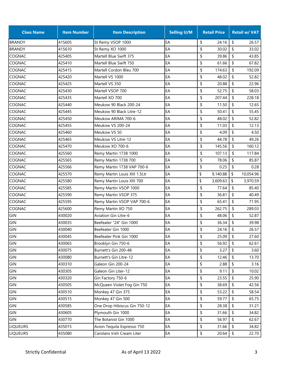| <b>Class Name</b> | <b>Item Number</b> | <b>Item Description</b>       | <b>Selling U/M</b> | <b>Retail Price</b> |                     | <b>Retail w/ VAT</b> |
|-------------------|--------------------|-------------------------------|--------------------|---------------------|---------------------|----------------------|
| <b>BRANDY</b>     | 415605             | St Remy VSOP 1000             | EA                 | \$<br>24.16         | \$                  | 26.57                |
| <b>BRANDY</b>     | 415610             | St Remy XO 1000               | EA                 | \$<br>30.02         | \$                  | 33.02                |
| COGNAC            | 425405             | Martell Blue Swift 375        | EA                 | \$<br>39.86         | \$                  | 43.85                |
| <b>COGNAC</b>     | 425410             | Martell Blue Swift 750        | EA                 | \$<br>61.66         | \$                  | 67.82                |
| COGNAC            | 425415             | Martell Cordon Bleu 700       | EA                 | \$<br>174.63        | \$                  | 192.09               |
| COGNAC            | 425420             | Martell VS 1000               | EA                 | \$<br>48.02         | \$                  | 52.82                |
| COGNAC            | 425425             | Martell VS 350                | EA                 | \$<br>20.88         | \$                  | 22.96                |
| <b>COGNAC</b>     | 425430             | Martell VSOP 700              | EA                 | 52.75<br>\$         | \$                  | 58.03                |
| COGNAC            | 425435             | Martell XO 700                | EA                 | \$<br>207.44        | \$                  | 228.18               |
| COGNAC            | 425440             | Meukow 90 Black 200-24        | EA                 | \$<br>11.50         | \$                  | 12.65                |
| COGNAC            | 425445             | Meukow 90 Black Litre-12      | EA                 | \$<br>50.41         | \$                  | 55.45                |
| COGNAC            | 425450             | Meukow ARIMA 700-6            | EA                 | \$<br>48.02         | \$                  | 52.82                |
| COGNAC            | 425455             | Meukow VS 200-24              | EA                 | \$<br>11.03         | \$                  | 12.13                |
| COGNAC            | 425460             | Meukow VS 50                  | EA                 | \$<br>4.09          | \$                  | 4.50                 |
| COGNAC            | 425465             | Meukow VS Litre-12            | EA                 | \$<br>44.78         | \$                  | 49.26                |
| COGNAC            | 425470             | Meukow XO 700-6               | EA                 | \$<br>145.56        | \$                  | 160.12               |
| COGNAC            | 425560             | Remy Martin 1738 1000         | EA                 | \$<br>107.13        | \$                  | 117.84               |
| COGNAC            | 425565             | Remy Martin 1738 700          | EA                 | \$<br>78.06         | \$                  | 85.87                |
| COGNAC            | 425566             | Remy Martin 1738 VAP 700-6    | EA                 | \$<br>0.25          | \$                  | 0.28                 |
| COGNAC            | 425570             | Remy Martin Louis XIII 1.5Ltr | EA                 | \$<br>9,140.88      | \$                  | 10,054.96            |
| COGNAC            | 425580             | Remy Martin Louis XIII 700    | EA                 | \$<br>3,609.63      | \$                  | 3,970.59             |
| COGNAC            | 425585             | Remy Martin VSOP 1000         | EA                 | \$<br>77.64         | \$                  | 85.40                |
| COGNAC            | 425590             | Remy Martin VSOP 375          | EA                 | \$<br>36.81         | \$                  | 40.49                |
| <b>COGNAC</b>     | 425595             | Remy Martin VSOP VAP 700-6    | EA                 | \$<br>65.41         | \$                  | 71.95                |
| COGNAC            | 425600             | Remy Martin XO 750            | EA                 | \$<br>262.75        | \$                  | 289.03               |
| GIN               | 430020             | <b>Aviation Gin Litre-6</b>   | EA                 | \$<br>48.06         | \$                  | 52.87                |
| GIN               | 430035             | Beefeater "24" Gin 1000       | EA                 | \$<br>36.34         | \$                  | 39.98                |
| <b>GIN</b>        | 430040             | Beefeater Gin 1000            | EA                 | \$<br>24.16         | \$                  | 26.57                |
| GIN               | 430045             | Beefeater Pink Gin 1000       | EA                 | \$<br>25.09         | \$                  | 27.60                |
| GIN               | 430065             | Brooklyn Gin 750-6            | EA                 | \$<br>56.92         | \$                  | 62.61                |
| GIN               | 430075             | Burnett's Gin 200-48          | EA                 | \$<br>3.27          | \$                  | 3.60                 |
| GIN               | 430080             | Burnett's Gin Litre-12        | EA                 | \$<br>12.46         | \$                  | 13.70                |
| GIN               | 430310             | Galeon Gin 200-24             | EA                 | \$<br>2.88          | \$                  | 3.16                 |
| GIN               | 430305             | Galeon Gin Liter-12           | EA                 | \$<br>9.11          | \$                  | 10.02                |
| GIN               | 430320             | Gin Factory 750-6             | EA                 | \$<br>23.55         | \$                  | 25.90                |
| GIN               | 430505             | McQueen Violet Fog Gin 750    | EA                 | \$<br>38.69         | \$                  | 42.56                |
| GIN               | 430510             | Monkey 47 Gin 375             | EA                 | \$<br>53.22         | \$                  | 58.54                |
| GIN               | 430515             | Monkey 47 Gin 500             | EA                 | \$<br>59.77         | \$                  | 65.75                |
| GIN               | 430585             | One Drop Hibiscus Gin 750-12  | EA                 | \$<br>28.38         | \$                  | 31.21                |
| GIN               | 430605             | Plymouth Gin 1000             | EA                 | \$<br>31.66         | \$                  | 34.82                |
| GIN               | 430770             | The Botanist Gin 1000         | EA                 | \$<br>56.97         | \$                  | 62.67                |
| <b>LIQUEURS</b>   | 435015             | Avion Tequila Expresso 750    | EA                 | \$<br>31.66         | \$                  | 34.82                |
| <b>LIQUEURS</b>   | 435080             | Carolans Irish Cream Liter    | EA                 | \$<br>20.64         | $\pmb{\mathsf{\$}}$ | 22.70                |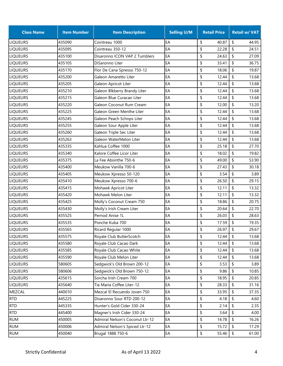| <b>Class Name</b> | <b>Item Number</b> | <b>Item Description</b>         | <b>Selling U/M</b> | <b>Retail Price</b> | <b>Retail w/ VAT</b>                |
|-------------------|--------------------|---------------------------------|--------------------|---------------------|-------------------------------------|
| <b>LIQUEURS</b>   | 435090             | Cointreau 1000                  | EA                 | \$<br>40.87         | \$<br>44.95                         |
| <b>LIQUEURS</b>   | 435095             | Cointreau 350-12                | EA                 | \$<br>22.28         | \$<br>24.51                         |
| <b>LIQUEURS</b>   | 435100             | Disaronno ICON VAP 2 Tumblers   | EA                 | \$<br>24.63         | \$<br>27.09                         |
| <b>LIQUEURS</b>   | 435105             | DiSaronno Liter                 | EA                 | \$<br>33.41         | \$<br>36.75                         |
| <b>LIQUEURS</b>   | 435170             | Flor De Cana Spresso 750-12     | EA                 | \$<br>18.06         | \$<br>19.87                         |
| <b>LIQUEURS</b>   | 435200             | Galeon Amaretto Liter           | EA                 | \$<br>12.44         | \$<br>13.68                         |
| <b>LIQUEURS</b>   | 435205             | Galeon Apricot Liter            | EA                 | \$<br>12.44         | \$<br>13.68                         |
| <b>LIQUEURS</b>   | 435210             | Galeon Blkberry Brandy Liter    | EA                 | \$<br>12.44         | \$<br>13.68                         |
| <b>LIQUEURS</b>   | 435215             | Galeon Blue Curacao Liter       | EA                 | \$<br>12.44         | \$<br>13.68                         |
| <b>LIQUEURS</b>   | 435220             | Galeon Coconut Rum Cream        | EA                 | \$<br>12.00         | \$<br>13.20                         |
| <b>LIQUEURS</b>   | 435225             | Galeon Green Menthe Liter       | EA                 | \$<br>12.44         | \$<br>13.68                         |
| <b>LIQUEURS</b>   | 435245             | Galeon Peach Schnps Liter       | EA                 | \$<br>12.44         | \$<br>13.68                         |
| <b>LIQUEURS</b>   | 435255             | Galeon Sour Apple Liter         | EA                 | \$<br>12.44         | \$<br>13.68                         |
| <b>LIQUEURS</b>   | 435260             | Galeon Triple Sec Liter         | EA                 | \$<br>12.44         | \$<br>13.68                         |
| <b>LIQUEURS</b>   | 435263             | Galeon WaterMelon Liter         | EA                 | \$<br>12.44         | \$<br>13.68                         |
| <b>LIQUEURS</b>   | 435335             | Kahlua Coffee 1000              | EA                 | \$<br>25.18         | \$<br>27.70                         |
| <b>LIQUEURS</b>   | 435340             | Kalore Coffee Licor Liter       | EA                 | \$<br>18.02         | \$<br>19.82                         |
| <b>LIQUEURS</b>   | 435375             | La Fee Absinthe 750-6           | EA                 | \$<br>49.00         | \$<br>53.90                         |
| <b>LIQUEURS</b>   | 435400             | Meukow Vanilla 700-6            | EA                 | \$<br>27.43         | \$<br>30.18                         |
| <b>LIQUEURS</b>   | 435405             | Meukow Xpresso 50-120           | EA                 | \$<br>3.54          | \$<br>3.89                          |
| <b>LIQUEURS</b>   | 435410             | Meukow Xpresso 700-6            | EA                 | \$<br>26.50         | \$<br>29.15                         |
| <b>LIQUEURS</b>   | 435415             | Mohawk Apricot Liter            | EA                 | \$<br>12.11         | \$<br>13.32                         |
| <b>LIQUEURS</b>   | 435420             | Mohawk Melon Liter              | EA                 | \$<br>12.11         | \$<br>13.32                         |
| <b>LIQUEURS</b>   | 435425             | Molly's Coconut Cream 750       | EA                 | \$<br>18.86         | \$<br>20.75                         |
| <b>LIQUEURS</b>   | 435430             | Molly's Irish Cream Liter       | EA                 | \$<br>20.64         | \$<br>22.70                         |
| <b>LIQUEURS</b>   | 435525             | Pernod Anise 1L                 | EA                 | \$<br>26.03         | \$<br>28.63                         |
| <b>LIQUEURS</b>   | 435535             | Ponche Kuba 700                 | EA                 | \$<br>17.59         | \$<br>19.35                         |
| <b>LIQUEURS</b>   | 435565             | Ricard Regular 1000             | EA                 | \$<br>26.97         | \$<br>29.67                         |
| <b>LIQUEURS</b>   | 435575             | Royale Club ButterScotch        | EA                 | \$<br>12.44         | \$<br>13.68                         |
| <b>LIQUEURS</b>   | 435580             | Royale Club Cacao Dark          | EA                 | \$<br>12.44         | 13.68<br>\$                         |
| <b>LIQUEURS</b>   | 435585             | Royale Club Cacao White         | EA                 | \$<br>12.44         | \$<br>13.68                         |
| <b>LIQUEURS</b>   | 435590             | Royale Club Melon Liter         | EA                 | \$<br>12.44         | \$<br>13.68                         |
| <b>LIQUEURS</b>   | 580605             | Sedgwick's Old Brown 200-12     | EA                 | \$<br>3.53          | \$<br>3.89                          |
| <b>LIQUEURS</b>   | 580606             | Sedgwick's Old Brown 750-12     | EA                 | \$<br>9.86          | \$<br>10.85                         |
| <b>LIQUEURS</b>   | 435615             | Sorcha Irish Cream 700          | EA                 | \$<br>18.95         | \$<br>20.85                         |
| <b>LIQUEURS</b>   | 435640             | Tia Maria Coffee Liter-12       | EA                 | \$<br>28.33         | \$<br>31.16                         |
| MEZCAL            | 440010             | Mezcal El Recuerdo Joven 750    | EA                 | \$<br>33.95         | \$<br>37.35                         |
| <b>RTD</b>        | 445225             | Disaronno Sour RTD 200-12       | EA                 | \$<br>4.18          | \$<br>4.60                          |
| <b>RTD</b>        | 445335             | Hunter's Gold Cider 330-24      | EA                 | \$<br>2.14          | \$<br>2.35                          |
| <b>RTD</b>        | 445400             | Magner's Irish Cider 330-24     | EA                 | \$<br>3.64          | \$<br>4.00                          |
| <b>RUM</b>        | 450005             | Admiral Nelson's Coconut Ltr-12 | EA                 | \$<br>14.78         | \$<br>16.26                         |
| <b>RUM</b>        | 450006             | Admiral Nelson's Spiced Ltr-12  | EA                 | \$<br>15.72         | \$<br>17.29                         |
| <b>RUM</b>        | 450040             | Brugal 1888 750-6               | EA                 | \$<br>55.46         | $\boldsymbol{\mathsf{\$}}$<br>61.00 |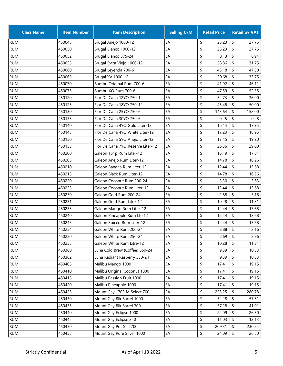| <b>Class Name</b> | <b>Item Number</b> | <b>Item Description</b>           | <b>Selling U/M</b> | <b>Retail Price</b> |                     | <b>Retail w/ VAT</b> |
|-------------------|--------------------|-----------------------------------|--------------------|---------------------|---------------------|----------------------|
| <b>RUM</b>        | 450045             | Brugal Anejo 1000-12              | EA                 | \$<br>25.23         | \$                  | 27.75                |
| <b>RUM</b>        | 450050             | Brugal Blanco 1000-12             | EA                 | \$<br>25.23         | \$                  | 27.75                |
| <b>RUM</b>        | 450052             | Brugal Blanco 375-24              | EA                 | \$<br>8.13          | \$                  | 8.94                 |
| <b>RUM</b>        | 450055             | Brugal Extra Viejo 1000-12        | EA                 | \$<br>28.86         | \$                  | 31.75                |
| <b>RUM</b>        | 450060             | Brugal Leyenda 700-6              | EA                 | \$<br>43.18         | \$                  | 47.50                |
| <b>RUM</b>        | 450065             | Brugal XV 1000-12                 | EA                 | \$<br>30.68         | \$                  | 33.75                |
| <b>RUM</b>        | 450070             | Bumbu Original Rum 700-6          | EA                 | \$<br>41.92         | \$                  | 46.11                |
| <b>RUM</b>        | 450075             | Bumbu XO Rum 700-6                | EA                 | \$<br>47.59         | \$                  | 52.35                |
| <b>RUM</b>        | 450120             | Flor De Cana 12YO 750-12          | EA                 | \$<br>32.73         | \$                  | 36.00                |
| <b>RUM</b>        | 450125             | Flor De Cana 18YO 750-12          | EA                 | \$<br>45.46         | \$                  | 50.00                |
| <b>RUM</b>        | 450130             | Flor De Cana 25YO 750-6           | EA                 | \$<br>143.64        | \$                  | 158.00               |
| <b>RUM</b>        | 450135             | Flor De Cana 30YO 750-6           | EA                 | 0.25<br>\$          | \$                  | 0.28                 |
| <b>RUM</b>        | 450140             | Flor De Cana 4YO Gold Liter-12    | EA                 | \$<br>16.14         | \$                  | 17.75                |
| <b>RUM</b>        | 450145             | Flor De Cana 4YO White Liter-12   | EA                 | \$<br>17.23         | \$                  | 18.95                |
| <b>RUM</b>        | 450150             | Flor De Cana 5YO Anejo Liter-12   | EA                 | \$<br>17.45         | \$                  | 19.20                |
| <b>RUM</b>        | 450155             | Flor De Cana 7YO Reserve Liter-12 | EA                 | \$<br>26.36         | \$                  | 29.00                |
| <b>RUM</b>        | 450200             | Galeon 151p Rum Liter-12          | EA                 | \$<br>16.19         | \$                  | 17.81                |
| <b>RUM</b>        | 450205             | Galeon Anejo Rum Liter-12         | EA                 | \$<br>14.78         | \$                  | 16.26                |
| <b>RUM</b>        | 450210             | Galeon Banana Rum Liter-12        | EA                 | \$<br>12.44         | \$                  | 13.68                |
| <b>RUM</b>        | 450215             | Galeon Black Rum Liter-12         | EA                 | \$<br>14.78         | \$                  | 16.26                |
| <b>RUM</b>        | 450220             | Galeon Coconut Rum 200-24         | EA                 | \$<br>3.30          | \$                  | 3.63                 |
| <b>RUM</b>        | 450225             | Galeon Coconut Rum Liter-12       | EA                 | \$<br>12.44         | \$                  | 13.68                |
| <b>RUM</b>        | 450230             | Galeon Gold Rum 200-24            | EA                 | \$<br>2.88          | \$                  | 3.16                 |
| <b>RUM</b>        | 450231             | Galeon Gold Rum Litre-12          | EA                 | \$<br>10.28         | \$                  | 11.31                |
| <b>RUM</b>        | 450235             | Galeon Mango Rum Liter-12         | EA                 | \$<br>12.44         | \$                  | 13.68                |
| <b>RUM</b>        | 450240             | Galeon Pineapple Rum Ltr-12       | EA                 | \$<br>12.44         | \$                  | 13.68                |
| <b>RUM</b>        | 450245             | Galeon Spiced Rum Liter-12        | EA                 | \$<br>12.44         | \$                  | 13.68                |
| <b>RUM</b>        | 450254             | Galeon White Rum 200-24           | EA                 | \$<br>2.88          | \$                  | 3.16                 |
| <b>RUM</b>        | 450250             | Galeon White Rum 250-24           | EA                 | \$<br>2.69          | \$                  | 2.96                 |
| <b>RUM</b>        | 450255             | Galeon White Rum Litre-12         | EA                 | \$<br>10.28         | \$                  | 11.31                |
| <b>RUM</b>        | 450360             | Luna Cold Brew (Coffee) 550-24    | EA                 | \$<br>9.39          | \$                  | 10.33                |
| <b>RUM</b>        | 450362             | Luna Radiant Rasberry 550-24      | EA                 | \$<br>9.39          | \$                  | 10.33                |
| <b>RUM</b>        | 450405             | Malibu Mango 1000                 | EA                 | \$<br>17.41         | \$                  | 19.15                |
| <b>RUM</b>        | 450410             | Malibu Original Coconut 1000      | EA                 | \$<br>17.41         | \$                  | 19.15                |
| <b>RUM</b>        | 450415             | Malibu Passion Fruit 1000         | EA                 | \$<br>17.41         | \$                  | 19.15                |
| <b>RUM</b>        | 450420             | Malibu Pineapple 1000             | EA                 | \$<br>17.41         | \$                  | 19.15                |
| <b>RUM</b>        | 450425             | Mount Gay 1703 M Select 700       | EA                 | \$<br>255.25        | \$                  | 280.78               |
| <b>RUM</b>        | 450430             | Mount Gay Blk Barrel 1000         | EA                 | \$<br>52.28         | \$                  | 57.51                |
| <b>RUM</b>        | 450435             | Mount Gay Blk Barrel 700          | EA                 | \$<br>37.28         | \$                  | 41.01                |
| <b>RUM</b>        | 450440             | Mount Gay Eclipse 1000            | EA                 | \$<br>24.09         | \$                  | 26.50                |
| <b>RUM</b>        | 450445             | Mount Gay Eclipse 350             | EA                 | \$<br>11.03         | \$                  | 12.13                |
| <b>RUM</b>        | 450450             | Mount Gay Pot Still 700           | EA                 | \$<br>209.31        | \$                  | 230.24               |
| <b>RUM</b>        | 450455             | Mount Gay Pure Silver 1000        | EA                 | \$<br>24.09         | $\pmb{\mathsf{\$}}$ | 26.50                |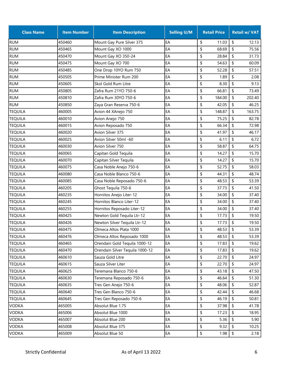| <b>Class Name</b> | <b>Item Number</b> | <b>Item Description</b>         | <b>Selling U/M</b> | <b>Retail Price</b> | <b>Retail w/ VAT</b> |
|-------------------|--------------------|---------------------------------|--------------------|---------------------|----------------------|
| <b>RUM</b>        | 450460             | Mount Gay Pure Silver 375       | EA                 | \$<br>11.03         | \$<br>12.13          |
| <b>RUM</b>        | 450465             | Mount Gay XO 1000               | EA                 | \$<br>68.69         | \$<br>75.56          |
| <b>RUM</b>        | 450470             | Mount Gay XO 350-24             | EA                 | \$<br>28.84         | \$<br>31.73          |
| <b>RUM</b>        | 450475             | Mount Gay XO 700                | EA                 | \$<br>54.63         | \$<br>60.09          |
| <b>RUM</b>        | 450485             | One Drop 10YO Rum 750           | EA                 | \$<br>52.28         | \$<br>57.51          |
| <b>RUM</b>        | 450505             | Prime Minister Rum 200          | EA                 | \$<br>1.89          | \$<br>2.08           |
| <b>RUM</b>        | 450605             | Skol Gold Rum Litre             | EA                 | \$<br>8.30          | \$<br>9.13           |
| <b>RUM</b>        | 450805             | Zafra Rum 21YO 750-6            | EA                 | \$<br>66.81         | \$<br>73.49          |
| <b>RUM</b>        | 450810             | Zafra Rum 30YO 750-6            | EA                 | \$<br>184.00        | \$<br>202.40         |
| <b>RUM</b>        | 450850             | Zaya Gran Reserva 750-6         | EA                 | \$<br>42.05         | \$<br>46.25          |
| <b>TEQUILA</b>    | 460005             | Avion 44 XAnejo 750             | EA                 | \$<br>148.87        | \$<br>163.75         |
| <b>TEQUILA</b>    | 460010             | Avion Anejo 750                 | EA                 | \$<br>75.25         | \$<br>82.78          |
| <b>TEQUILA</b>    | 460015             | Avion Reposado 750              | EA                 | \$<br>66.34         | \$<br>72.98          |
| <b>TEQUILA</b>    | 460020             | Avion Silver 375                | EA                 | \$<br>41.97         | \$<br>46.17          |
| <b>TEQUILA</b>    | 460025             | Avion Silver 50ml -60           | EA                 | \$<br>6.11          | \$<br>6.72           |
| <b>TEQUILA</b>    | 460030             | Avion Silver 750                | EA                 | \$<br>58.87         | \$<br>64.75          |
| <b>TEQUILA</b>    | 460065             | Capitan Gold Tequila            | EA                 | \$<br>14.27         | \$<br>15.70          |
| <b>TEQUILA</b>    | 460070             | Capitan Silver Tequila          | EA                 | \$<br>14.27         | \$<br>15.70          |
| <b>TEQUILA</b>    | 460075             | Casa Noble Anejo 750-6          | EA                 | \$<br>52.75         | \$<br>58.03          |
| <b>TEQUILA</b>    | 460080             | Casa Noble Blanco 750-6         | EA                 | \$<br>44.31         | \$<br>48.74          |
| <b>TEQUILA</b>    | 460085             | Casa Noble Reposado 750-6       | EA                 | \$<br>48.53         | \$<br>53.39          |
| <b>TEQUILA</b>    | 460205             | Ghost Tequila 750-6             | EA                 | \$<br>37.73         | \$<br>41.50          |
| <b>TEQUILA</b>    | 460235             | Hornitos Anejo Liter-12         | EA                 | \$<br>34.00         | \$<br>37.40          |
| <b>TEQUILA</b>    | 460245             | Hornitos Blanco Liter-12        | EA                 | \$<br>34.00         | \$<br>37.40          |
| <b>TEQUILA</b>    | 460255             | Hornitos Reposado Liter-12      | EA                 | \$<br>34.00         | \$<br>37.40          |
| <b>TEQUILA</b>    | 460425             | Newton Gold Tequila Ltr-12      | EA                 | \$<br>17.73         | \$<br>19.50          |
| <b>TEQUILA</b>    | 460426             | Newton Silver Tequila Ltr-12    | EA                 | \$<br>17.73         | \$<br>19.50          |
| <b>TEQUILA</b>    | 460475             | Olmeca Altos Plata 1000         | EA                 | \$<br>48.53         | \$<br>53.39          |
| <b>TEQUILA</b>    | 460476             | Olmeca Altos Reposado 1000      | EA                 | \$<br>48.53         | \$<br>53.39          |
| <b>TEQUILA</b>    | 460465             | Orendain Gold Tequila 1000-12   | EA                 | \$<br>17.83         | 19.62<br>\$          |
| <b>TEQUILA</b>    | 460470             | Orendain Silver Tequila 1000-12 | EA                 | \$<br>17.83         | \$<br>19.62          |
| <b>TEQUILA</b>    | 460610             | Sauza Gold Litre                | EA                 | \$<br>22.70         | \$<br>24.97          |
| <b>TEQUILA</b>    | 460615             | Sauza Silver Liter              | EA                 | \$<br>22.70         | \$<br>24.97          |
| <b>TEQUILA</b>    | 460625             | Teremana Blanco 750-6           | EA                 | \$<br>43.18         | \$<br>47.50          |
| <b>TEQUILA</b>    | 460630             | Teremana Reposado 750-6         | EA                 | \$<br>46.64         | \$<br>51.30          |
| <b>TEQUILA</b>    | 460635             | Tres Gen Anejo 750-6            | EA                 | \$<br>48.06         | \$<br>52.87          |
| <b>TEQUILA</b>    | 460640             | Tres Gen Blanco 750-6           | EA                 | \$<br>42.44         | \$<br>46.68          |
| <b>TEQUILA</b>    | 460645             | Tres Gen Reposado 750-6         | EA                 | \$<br>46.19         | \$<br>50.81          |
| <b>VODKA</b>      | 465005             | Absolut Blue 1.75               | EA                 | \$<br>37.98         | \$<br>41.78          |
| <b>VODKA</b>      | 465006             | Absolut Blue 1000               | EA                 | \$<br>17.23         | \$<br>18.95          |
| <b>VODKA</b>      | 465007             | Absolut Blue 200                | EA                 | \$<br>5.36          | \$<br>5.90           |
| <b>VODKA</b>      | 465008             | Absolut Blue 375                | EA                 | \$<br>9.32          | \$<br>10.25          |
| <b>VODKA</b>      | 465009             | Absolut Blue 50                 | EA                 | \$<br>1.98          | \$<br>2.18           |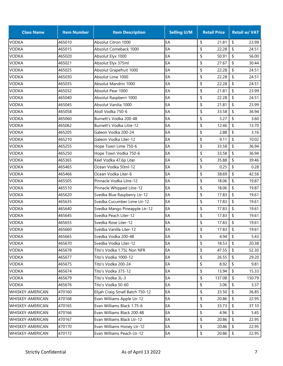| <b>Class Name</b>       | <b>Item Number</b> | <b>Item Description</b>         | <b>Selling U/M</b> | <b>Retail Price</b> | <b>Retail w/ VAT</b>                |
|-------------------------|--------------------|---------------------------------|--------------------|---------------------|-------------------------------------|
| <b>VODKA</b>            | 465010             | Absolut Citron 1000             | EA                 | \$<br>21.81         | \$<br>23.99                         |
| <b>VODKA</b>            | 465015             | Absolut Comeback 1000           | EA                 | \$<br>22.28         | \$<br>24.51                         |
| VODKA                   | 465020             | Absolut Elyx 1000               | EA                 | \$<br>50.91         | \$<br>56.00                         |
| <b>VODKA</b>            | 465021             | Absolut Elyx 375ml              | EA                 | \$<br>27.67         | \$<br>30.44                         |
| <b>VODKA</b>            | 465025             | Absolut Grapefruit 1000         | EA                 | \$<br>22.28         | \$<br>24.51                         |
| <b>VODKA</b>            | 465030             | Absolut Lime 1000               | EA                 | \$<br>22.28         | \$<br>24.51                         |
| VODKA                   | 465035             | Absolut Mandrin 1000            | EA                 | \$<br>22.28         | \$<br>24.51                         |
| <b>VODKA</b>            | 465032             | Absolut Pear 1000               | EA                 | \$<br>21.81         | \$<br>23.99                         |
| <b>VODKA</b>            | 465040             | Absolut Raspberri 1000          | EA                 | \$<br>22.28         | \$<br>24.51                         |
| <b>VODKA</b>            | 465045             | Absolut Vanilia 1000            | EA                 | \$<br>21.81         | \$<br>23.99                         |
| VODKA                   | 465058             | Atoll Vodka 750-6               | EA                 | \$<br>33.58         | \$<br>36.94                         |
| <b>VODKA</b>            | 465060             | Burnett's Vodka 200-48          | EA                 | \$<br>3.27          | \$<br>3.60                          |
| <b>VODKA</b>            | 465062             | Burnett's Vodka Litre-12        | EA                 | \$<br>12.46         | \$<br>13.70                         |
| <b>VODKA</b>            | 465205             | Galeon Vodka 200-24             | EA                 | \$<br>2.88          | \$<br>3.16                          |
| VODKA                   | 465210             | Galeon Vodka Liter-12           | EA                 | \$<br>9.11          | \$<br>10.02                         |
| <b>VODKA</b>            | 465255             | Hope Town Lime 750-6            | EA                 | \$<br>33.58         | \$<br>36.94                         |
| <b>VODKA</b>            | 465250             | Hope Town Vodka 750-6           | EA                 | \$<br>33.58         | \$<br>36.94                         |
| <b>VODKA</b>            | 465365             | Keel Vodka 47.6p Liter          | EA                 | \$<br>35.88         | \$<br>39.46                         |
| VODKA                   | 465465             | Ocean Vodka 50ml-12             | EA                 | \$<br>0.25          | \$<br>0.28                          |
| <b>VODKA</b>            | 465466             | Ocean Vodka Liter-6             | EA                 | \$<br>38.69         | \$<br>42.56                         |
| <b>VODKA</b>            | 465505             | Pinnacle Vodka Litre-12         | EA                 | \$<br>18.06         | \$<br>19.87                         |
| <b>VODKA</b>            | 465510             | Pinnacle Whipped Litre-12       | EA                 | \$<br>18.06         | \$<br>19.87                         |
| <b>VODKA</b>            | 465620             | Svedka Blue Raspberry Ltr-12    | EA                 | \$<br>17.83         | \$<br>19.61                         |
| <b>VODKA</b>            | 465635             | Svedka Cucumber Lime Ltr-12     | EA                 | \$<br>17.83         | \$<br>19.61                         |
| <b>VODKA</b>            | 465640             | Svedka Mango Pineapple Ltr-12   | EA                 | \$<br>17.83         | \$<br>19.61                         |
| <b>VODKA</b>            | 465645             | Svedka Peach Liter-12           | EA                 | \$<br>17.83         | \$<br>19.61                         |
| <b>VODKA</b>            | 465655             | Svedka Rose Liter-12            | EA                 | \$<br>17.83         | \$<br>19.61                         |
| <b>VODKA</b>            | 465660             | Svedka Vanilla Liter-12         | EA                 | \$<br>17.83         | \$<br>19.61                         |
| <b>VODKA</b>            | 465665             | Svedka Vodka 200-48             | EA                 | \$<br>4.94          | \$<br>5.43                          |
| <b>VODKA</b>            | 465670             | Svedka Vodka Liter-12           | EA                 | \$<br>18.53         | 20.38<br>\$                         |
| <b>VODKA</b>            | 465678             | Tito's Vodka 1.75L Non NFR      | EA                 | \$<br>47.55         | \$<br>52.30                         |
| <b>VODKA</b>            | 465677             | Tito's Vodka 1000-12            | EA                 | \$<br>26.55         | \$<br>29.20                         |
| <b>VODKA</b>            | 465675             | Tito's Vodka 200-24             | EA                 | \$<br>8.92          | \$<br>9.81                          |
| <b>VODKA</b>            | 465674             | Tito's Vodka 375-12             | EA                 | \$<br>13.94         | \$<br>15.33                         |
| <b>VODKA</b>            | 465679             | Tito's Vodka 3L-3               | EA                 | \$<br>137.08        | \$<br>150.79                        |
| <b>VODKA</b>            | 465676             | Tito's Vodka 50-60              | EA                 | \$<br>3.06          | \$<br>3.37                          |
| WHISKEY-AMERICAN        | 470160             | Elijah Craig Small Batch 750-12 | EA                 | \$<br>33.50         | \$<br>36.85                         |
| <b>WHISKEY-AMERICAN</b> | 470168             | Evan Williams Apple Ltr-12      | EA                 | \$<br>20.86         | \$<br>22.95                         |
| WHISKEY-AMERICAN        | 470165             | Evan Williams Black 1.75-6      | EA                 | \$<br>33.73         | \$<br>37.10                         |
| WHISKEY-AMERICAN        | 470166             | Evan Williams Black 200-48      | EA                 | \$<br>4.96          | \$<br>5.45                          |
| WHISKEY-AMERICAN        | 470167             | Evan Williams Black Ltr-12      | EA                 | \$<br>20.86         | \$<br>22.95                         |
| WHISKEY-AMERICAN        | 470170             | Evan Williams Honey Ltr-12      | EA                 | \$<br>20.86         | \$<br>22.95                         |
| WHISKEY-AMERICAN        | 470172             | Evan Williams Peach Ltr-12      | EA                 | \$<br>20.86         | $\boldsymbol{\mathsf{\$}}$<br>22.95 |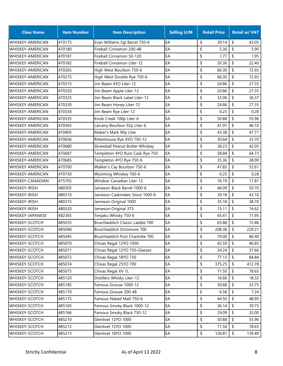| <b>Class Name</b>       | <b>Item Number</b> | <b>Item Description</b>          | <b>Selling U/M</b> | <b>Retail Price</b> | <b>Retail w/ VAT</b> |
|-------------------------|--------------------|----------------------------------|--------------------|---------------------|----------------------|
| <b>WHISKEY-AMERICAN</b> | 470175             | Evan Williams Sgl Barrel 750-6   | EA                 | \$<br>39.14         | \$<br>43.05          |
| <b>WHISKEY-AMERICAN</b> | 470180             | Fireball Cinnamon 200-48         | EA                 | \$<br>5.36          | \$<br>5.90           |
| <b>WHISKEY-AMERICAN</b> | 470181             | Fireball Cinnamon 50-120         | EA                 | \$<br>1.77          | \$<br>1.95           |
| <b>WHISKEY-AMERICAN</b> | 470182             | Fireball Cinnamon Liter-12       | EA                 | \$<br>20.36         | \$<br>22.40          |
| WHISKEY-AMERICAN        | 470265             | High West Bourbon 750-6          | EA                 | \$<br>66.30         | \$<br>72.93          |
| <b>WHISKEY-AMERICAN</b> | 470275             | High West Double Rye 750-6       | EA                 | \$<br>66.30         | \$<br>72.93          |
| WHISKEY-AMERICAN        | 470315             | Jim Beam 4YO Liter-12            | EA                 | \$<br>24.86         | \$<br>27.35          |
| <b>WHISKEY-AMERICAN</b> | 470320             | Jim Beam Apple Liter-12          | EA                 | \$<br>24.86         | \$<br>27.35          |
| <b>WHISKEY-AMERICAN</b> | 470325             | Jim Beam Black Label Liter-12    | EA                 | \$<br>33.06         | \$<br>36.37          |
| <b>WHISKEY-AMERICAN</b> | 470330             | Jim Beam Honey Liter-12          | EA                 | \$<br>24.86         | \$<br>27.35          |
| WHISKEY-AMERICAN        | 470334             | Jim Beam Rye Liter-12            | EA                 | \$<br>0.25          | \$<br>0.28           |
| <b>WHISKEY-AMERICAN</b> | 470335             | Knob Creek 100p Liter-6          | EA                 | \$<br>50.88         | \$<br>55.96          |
| <b>WHISKEY-AMERICAN</b> | 470365             | Larceny Bourbon 92p Liter-6      | EA                 | \$<br>41.91         | \$<br>46.10          |
| <b>WHISKEY-AMERICAN</b> | 470405             | Maker's Mark 90p Liter           | EA                 | \$<br>43.38         | \$<br>47.71          |
| WHISKEY-AMERICAN        | 470656             | Rittenhouse Rye 4YO 750-12       | EA                 | \$<br>30.64         | \$<br>33.70          |
| <b>WHISKEY-AMERICAN</b> | 470680             | Skrewball Peanut Butter Whiskey  | EA                 | \$<br>38.23         | \$<br>42.05          |
| <b>WHISKEY-AMERICAN</b> | 470687             | Templeton 4YO Rum Cask Rye 750   | EA                 | \$<br>58.84         | \$<br>64.73          |
| <b>WHISKEY-AMERICAN</b> | 470685             | Templeton 4YO Rye 750-6          | EA                 | \$<br>35.36         | \$<br>38.90          |
| <b>WHISKEY-AMERICAN</b> | 470700             | Walker's Cay Bourbon 750-6       | EA                 | \$<br>47.83         | \$<br>52.61          |
| <b>WHISKEY-AMERICAN</b> | 470730             | Wyoming Whiskey 700-6            | EA                 | \$<br>0.25          | \$<br>0.28           |
| <b>WHISKEY-CANADIAN</b> | 475765             | <b>Windsor Canadian Liter-12</b> | EA                 | \$<br>16.19         | \$<br>17.81          |
| <b>WHISKEY-IRISH</b>    | 480305             | Jameson Black Barrel 1000-6      | EA                 | \$<br>46.09         | \$<br>50.70          |
| <b>WHISKEY-IRISH</b>    | 480310             | Jameson Caskmates Stout 1000-6   | EA                 | \$<br>39.18         | \$<br>43.10          |
| <b>WHISKEY-IRISH</b>    | 480315             | Jameson Original 1000            | EA                 | \$<br>35.18         | \$<br>38.70          |
| <b>WHISKEY-IRISH</b>    | 480320             | Jameson Original 375             | EA                 | \$<br>15.11         | \$<br>16.62          |
| WHISKEY-JAPANESE        | 482365             | Tenjaku Whisky 750-6             | EA                 | \$<br>65.41         | \$<br>71.95          |
| <b>WHISKEY-SCOTCH</b>   | 485035             | Bruichladdich Classic Laddie 700 | EA                 | \$<br>65.88         | \$<br>72.46          |
| <b>WHISKEY-SCOTCH</b>   | 485040             | Bruichladdich Octomore 700       | EA                 | \$<br>208.38        | \$<br>229.21         |
| WHISKEY-SCOTCH          | 485045             | Bruichladdich Port Charlotte 700 | EA                 | \$<br>79.00         | \$<br>86.90          |
| WHISKEY-SCOTCH          | 485070             | Chivas Regal 12YO 1000           | EA                 | \$<br>42.59         | \$<br>46.85          |
| WHISKEY-SCOTCH          | 485071             | Chivas Regal 12YO 750-Glasses    | EA                 | \$<br>34.24         | \$<br>37.66          |
| WHISKEY-SCOTCH          | 485072             | Chivas Regal 18YO 750            | EA                 | \$<br>77.13         | \$<br>84.84          |
| WHISKEY-SCOTCH          | 485074             | Chivas Regal 25YO 700            | EA                 | \$<br>375.25        | \$<br>412.78         |
| WHISKEY-SCOTCH          | 485075             | Chivas Regal XV 1L               | EA                 | \$<br>71.50         | \$<br>78.65          |
| WHISKEY-SCOTCH          | 485120             | Distillers Whisky Liter-12       | EA                 | \$<br>16.66         | \$<br>18.32          |
| WHISKEY-SCOTCH          | 485185             | Famous Grouse 1000-12            | EA                 | \$<br>30.68         | \$<br>33.75          |
| WHISKEY-SCOTCH          | 485170             | Famous Grouse 200-48             | EA                 | \$<br>6.58          | \$<br>7.24           |
| WHISKEY-SCOTCH          | 485175             | Famous Naked Malt 750-6          | EA                 | \$<br>44.50         | \$<br>48.95          |
| WHISKEY-SCOTCH          | 485165             | Famous Smoky Black 1000-12       | EA                 | \$<br>36.14         | \$<br>39.75          |
| WHISKEY-SCOTCH          | 485166             | Famous Smoky Black 750-12        | EA                 | \$<br>29.09         | \$<br>32.00          |
| WHISKEY-SCOTCH          | 485210             | Glenlivet 12YO 1000              | EA                 | \$<br>50.88         | \$<br>55.96          |
| WHISKEY-SCOTCH          | 485212             | Glenlivet 15YO 1000              | EA                 | \$<br>71.50         | \$<br>78.65          |
| WHISKEY-SCOTCH          | 485213             | Glenlivet 18YO 1000              | EA                 | \$<br>126.81        | \$<br>139.49         |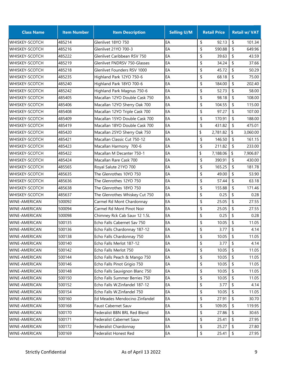| <b>Class Name</b>     | <b>Item Number</b> | <b>Item Description</b>        | <b>Selling U/M</b> | <b>Retail Price</b> |                           | <b>Retail w/ VAT</b> |
|-----------------------|--------------------|--------------------------------|--------------------|---------------------|---------------------------|----------------------|
| <b>WHISKEY-SCOTCH</b> | 485214             | Glenlivet 18YO 750             | EA                 | \$<br>92.13         | \$                        | 101.34               |
| WHISKEY-SCOTCH        | 485216             | Glenlivet 21YO 700-3           | EA                 | \$<br>590.88        | \$                        | 649.96               |
| WHISKEY-SCOTCH        | 485222             | Glenlivet Caribbean RSV 750    | EA                 | \$<br>39.63         | \$                        | 43.59                |
| <b>WHISKEY-SCOTCH</b> | 485219             | Glenlivet FNDRSV 750-Glasses   | EA                 | \$<br>34.24         | \$                        | 37.66                |
| WHISKEY-SCOTCH        | 485218             | Glenlivet Founders RSV 1000    | EA                 | \$<br>45.72         | \$                        | 50.29                |
| WHISKEY-SCOTCH        | 485235             | Highland Park 12YO 750-6       | EA                 | \$<br>68.18         | \$                        | 75.00                |
| WHISKEY-SCOTCH        | 485240             | Highland Park 18YO 700-6       | EA                 | \$<br>184.00        | \$                        | 202.40               |
| WHISKEY-SCOTCH        | 485242             | Highland Park Magnus 750-6     | EA                 | \$<br>52.73         | \$                        | 58.00                |
| WHISKEY-SCOTCH        | 485405             | Macallan 12YO Double Cask 750  | EA                 | \$<br>98.18         | \$                        | 108.00               |
| <b>WHISKEY-SCOTCH</b> | 485406             | Macallan 12YO Sherry Oak 700   | EA                 | \$<br>104.55        | \$                        | 115.00               |
| <b>WHISKEY-SCOTCH</b> | 485408             | Macallan 12YO Triple Cask 700  | EA                 | \$<br>97.27         | \$                        | 107.00               |
| WHISKEY-SCOTCH        | 485409             | Macallan 15YO Double Cask 700  | EA                 | \$<br>170.91        | \$                        | 188.00               |
| WHISKEY-SCOTCH        | 485419             | Macallan 18YO Double Cask 700  | EA                 | \$<br>431.82        | \$                        | 475.01               |
| <b>WHISKEY-SCOTCH</b> | 485420             | Macallan 25YO Sherry Oak 750   | EA                 | \$<br>2,781.82      | \$                        | 3,060.00             |
| <b>WHISKEY-SCOTCH</b> | 485421             | Macallan Classic Cut 750-12    | EA                 | \$<br>146.50        | \$                        | 161.15               |
| WHISKEY-SCOTCH        | 485423             | Macallan Harmony 700-6         | EA                 | \$<br>211.82        | \$                        | 233.00               |
| WHISKEY-SCOTCH        | 485422             | Macallan M Decanter 750-1      | EA                 | \$<br>7,188.06      | \$                        | 7,906.87             |
| <b>WHISKEY-SCOTCH</b> | 485424             | Macallan Rare Cask 700         | EA                 | \$<br>390.91        | \$                        | 430.00               |
| <b>WHISKEY-SCOTCH</b> | 485565             | Royal Salute 21YO 700          | EA                 | \$<br>165.25        | \$                        | 181.78               |
| <b>WHISKEY-SCOTCH</b> | 485635             | The Glenrothes 10YO 750        | EA                 | \$<br>49.00         | \$                        | 53.90                |
| <b>WHISKEY-SCOTCH</b> | 485636             | The Glenrothes 12YO 750        | EA                 | \$<br>57.44         | \$                        | 63.18                |
| <b>WHISKEY-SCOTCH</b> | 485638             | The Glenrothes 18YO 750        | EA                 | \$<br>155.88        | \$                        | 171.46               |
| <b>WHISKEY-SCOTCH</b> | 485637             | The Glenrothes Whiskey Cut 750 | EA                 | \$<br>0.25          | \$                        | 0.28                 |
| <b>WINE-AMERICAN</b>  | 500092             | Carmel Rd Mont Chardonnay      | EA                 | \$<br>25.05         | \$                        | 27.55                |
| <b>WINE-AMERICAN</b>  | 500094             | Carmel Rd Mont Pinot Noir      | EA                 | \$<br>25.05         | \$                        | 27.55                |
| <b>WINE-AMERICAN</b>  | 500098             | Chimney Rck Cab Sauv 12 1.5L   | EA                 | \$<br>0.25          | \$                        | 0.28                 |
| WINE-AMERICAN         | 500135             | Echo Falls Cabernet Sav 750    | EA                 | \$<br>10.05         | $\boldsymbol{\mathsf{S}}$ | 11.05                |
| <b>WINE-AMERICAN</b>  | 500136             | Echo Falls Chardonnay 187-12   | EA                 | \$<br>3.77          | \$                        | 4.14                 |
| WINE-AMERICAN         | 500138             | Echo Falls Chardonnay 750      | EA                 | \$<br>10.05         | \$                        | 11.05                |
| <b>WINE-AMERICAN</b>  | 500140             | Echo Falls Merlot 187-12       | EA                 | \$<br>3.77          | \$                        | 4.14                 |
| WINE-AMERICAN         | 500142             | Echo Falls Merlot 750          | EA                 | \$<br>10.05         | \$                        | 11.05                |
| <b>WINE-AMERICAN</b>  | 500144             | Echo Falls Peach & Mango 750   | EA                 | \$<br>10.05         | \$                        | 11.05                |
| WINE-AMERICAN         | 500146             | Echo Falls Pinot Grigio 750    | EA                 | \$<br>10.05         | \$                        | 11.05                |
| WINE-AMERICAN         | 500148             | Echo Falls Sauvignon Blanc 750 | EA                 | \$<br>10.05         | \$                        | 11.05                |
| WINE-AMERICAN         | 500150             | Echo Falls Summer Berries 750  | EA                 | \$<br>10.05         | \$                        | 11.05                |
| <b>WINE-AMERICAN</b>  | 500152             | Echo Falls W.Zinfandel 187-12  | EA                 | \$<br>3.77          | \$                        | 4.14                 |
| WINE-AMERICAN         | 500154             | Echo Falls W.Zinfandel 750     | EA                 | \$<br>10.05         | \$                        | 11.05                |
| WINE-AMERICAN         | 500160             | Ed Meades Mendocino Zinfandel  | EA                 | \$<br>27.91         | \$                        | 30.70                |
| WINE-AMERICAN         | 500168             | Faust Cabernet Sauv            | EA                 | \$<br>109.05        | \$                        | 119.95               |
| <b>WINE-AMERICAN</b>  | 500170             | Federalist BBN BRL Red Blend   | EA                 | \$<br>27.86         | \$                        | 30.65                |
| WINE-AMERICAN         | 500171             | Federalist Cabernet Sauv       | EA                 | \$<br>25.41         | \$                        | 27.95                |
| WINE-AMERICAN         | 500172             | Federalist Chardonnay          | EA                 | \$<br>25.27         | \$                        | 27.80                |
| WINE-AMERICAN         | 500169             | Federalist Honest Red          | EA                 | \$<br>25.41         | \$                        | 27.95                |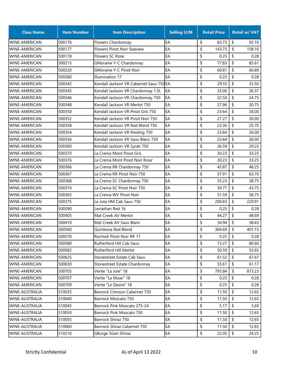| <b>Class Name</b>     | <b>Item Number</b> | <b>Item Description</b>                 | <b>Selling U/M</b> | <b>Retail Price</b> |                           | <b>Retail w/ VAT</b> |
|-----------------------|--------------------|-----------------------------------------|--------------------|---------------------|---------------------------|----------------------|
| <b>WINE-AMERICAN</b>  | 500176             | Flowers Chardonnay                      | EA                 | \$<br>83.73         | \$                        | 92.10                |
| <b>WINE-AMERICAN</b>  | 500177             | <b>Flowers Pinot Noir Seaview</b>       | EA                 | \$<br>143.73        | \$                        | 158.10               |
| <b>WINE-AMERICAN</b>  | 500178             | <b>Flowers SC Rose</b>                  | EA                 | \$<br>0.25          | \$                        | 0.28                 |
| <b>WINE-AMERICAN</b>  | 500215             | GMoraine Y-C Chardonnay                 | EA                 | 77.83<br>\$         | \$                        | 85.61                |
| <b>WINE-AMERICAN</b>  | 500220             | <b>GMoraine Y-C Pinot Noir</b>          | EA                 | \$<br>60.81         | \$                        | 66.89                |
| <b>WINE-AMERICAN</b>  | 500280             | Illumination 17                         | EA                 | 0.25<br>\$          | \$                        | 0.28                 |
| WINE-AMERICAN         | 500342             | Kendall Jackson VR Cabernet Sauv 750 EA |                    | \$<br>29.55         | $\boldsymbol{\mathsf{S}}$ | 32.50                |
| <b>WINE-AMERICAN</b>  | 500345             | Kendall Jackson VR Chardonnay 1.5L      | EA                 | \$<br>33.06         | \$                        | 36.37                |
| <b>WINE-AMERICAN</b>  | 500346             | Kendall Jackson VR Chardonnay 750       | EA                 | \$<br>22.50         | \$                        | 24.75                |
| <b>WINE-AMERICAN</b>  | 500348             | Kendall Jackson VR Merlot 750           | EA                 | \$<br>27.96         | \$                        | 30.75                |
| WINE-AMERICAN         | 500350             | Kendall Jackson VR Pinot Gris 750       | EA                 | \$<br>23.64         | \$                        | 26.00                |
| <b>WINE-AMERICAN</b>  | 500352             | Kendall Jackson VR Pinot Noir 750       | EA                 | \$<br>27.27         | \$                        | 30.00                |
| WINE-AMERICAN         | 500358             | Kendall Jackson VR Red Blend 750        | EA                 | \$<br>23.36         | \$                        | 25.70                |
| <b>WINE-AMERICAN</b>  | 500354             | Kendall Jackson VR Riesling 750         | EA                 | 23.64<br>\$         | \$                        | 26.00                |
| WINE-AMERICAN         | 500356             | Kendall Jackson VR Sauv Blanc 750       | EA                 | \$<br>23.64         | \$                        | 26.00                |
| <b>WINE-AMERICAN</b>  | 500360             | Kendall Jackson VR Syrah 750            | EA                 | \$<br>26.59         | \$                        | 29.25                |
| WINE-AMERICAN         | 500370             | La Crema Mont Pinot Gris                | EA                 | \$<br>30.23         | \$                        | 33.25                |
| <b>WINE-AMERICAN</b>  | 500376             | La Crema Mont Pinot Noir Rose'          | EA                 | \$<br>30.23         | \$                        | 33.25                |
| WINE-AMERICAN         | 500366             | La Crema RR Chardonnay 750              | EA                 | \$<br>43.87         | \$                        | 48.25                |
| <b>WINE-AMERICAN</b>  | 500367             | La Crema RR Pinot Noir 750              | EA                 | \$<br>57.91         | \$                        | 63.70                |
| WINE-AMERICAN         | 500368             | La Crema SC Chardonnay 750              | EA                 | \$<br>35.23         | \$                        | 38.75                |
| <b>WINE-AMERICAN</b>  | 500374             | La Crema SC Pinot Noir 750              | EA                 | \$<br>39.77         | \$                        | 43.75                |
| <b>WINE-AMERICAN</b>  | 500365             | La Crema WV Pinot Noir                  | EA                 | \$<br>51.59         | \$                        | 56.75                |
| <b>WINE-AMERICAN</b>  | 500375             | La Jota HM Cab Sauv 750                 | EA                 | \$<br>200.83        | \$                        | 220.91               |
| <b>WINE-AMERICAN</b>  | 500390             | Leviathan Red 16                        | EA                 | \$<br>0.25          | \$                        | 0.28                 |
| WINE-AMERICAN         | 500405             | Mat Creek AV Merlot                     | EA                 | 44.27<br>\$         | \$                        | 48.69                |
| <b>WINE-AMERICAN</b>  | 500410             | Mat Creek AV Sauv Blanc                 | EA                 | \$<br>34.94         | \$                        | 38.43                |
| <b>WINE-AMERICAN</b>  | 500560             | Quintessa Red Blend                     | EA                 | \$<br>364.69        | \$                        | 401.15               |
| <b>WINE-AMERICAN</b>  | 500570             | Rochioli Pinot Noir RR 17               | EA                 | \$<br>0.25          | \$                        | 0.28                 |
| <b>WINE-AMERICAN</b>  | 500580             | Rutherford Hill Cab Sauv                | EA                 | \$<br>73.27         | \$                        | 80.60                |
| <b>WINE-AMERICAN</b>  | 500582             | Rutherford Hill Merlot                  | EA                 | \$<br>50.59         | \$                        | 55.65                |
| <b>WINE-AMERICAN</b>  | 500625             | Stonestreet Estate Cab Sauv             | EA                 | \$<br>61.52         | \$                        | 67.67                |
| <b>WINE-AMERICAN</b>  | 500630             | Stonestreet Estate Chardonnay           | EA                 | \$<br>55.61         | \$                        | 61.17                |
| <b>WINE-AMERICAN</b>  | 500705             | Verite "La Joie" 18                     | EA                 | \$<br>793.84        | \$                        | 873.23               |
| <b>WINE-AMERICAN</b>  | 500707             | Verite "La Muse" 18                     | EA                 | \$<br>0.25          | \$                        | 0.28                 |
| <b>WINE-AMERICAN</b>  | 500709             | Verite "Le Desire" 18                   | EA                 | \$<br>0.25          | \$                        | 0.28                 |
| <b>WINE-AUSTRALIA</b> | 510035             | Banrock Crimson Cabernet 750            | EA                 | \$<br>11.50         | \$                        | 12.65                |
| <b>WINE-AUSTRALIA</b> | 510040             | Banrock Moscato 750                     | EA                 | \$<br>11.50         | \$                        | 12.65                |
| <b>WINE-AUSTRALIA</b> | 510045             | Banrock Pink Moscato 275-24             | EA                 | \$<br>5.17          | \$                        | 5.69                 |
| <b>WINE-AUSTRALIA</b> | 510050             | Banrock Pink Moscato 750                | EA                 | \$<br>11.50         | \$                        | 12.65                |
| <b>WINE-AUSTRALIA</b> | 510055             | Banrock Shiraz 750                      | EA                 | \$<br>11.50         | \$                        | 12.65                |
| WINE-AUSTRALIA        | 510060             | Banrock Shiraz Cabernet 750             | EA                 | \$<br>11.50         | \$                        | 12.65                |
| <b>WINE-AUSTRALIA</b> | 510210             | GBurge 5Gen Shiraz                      | EA                 | \$<br>22.05         | \$                        | 24.25                |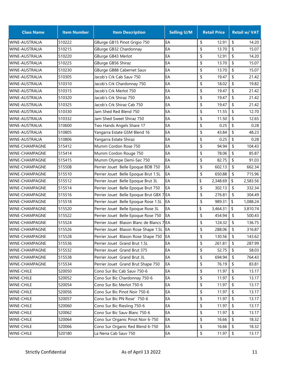| <b>Class Name</b>     | <b>Item Number</b> | <b>Item Description</b>                   | <b>Selling U/M</b> | <b>Retail Price</b> |                           | <b>Retail w/ VAT</b> |
|-----------------------|--------------------|-------------------------------------------|--------------------|---------------------|---------------------------|----------------------|
| <b>WINE-AUSTRALIA</b> | 510222             | GBurge GB15 Pinot Grigio 750              | EA                 | \$<br>12.91         | \$                        | 14.20                |
| <b>WINE-AUSTRALIA</b> | 510215             | GBurge GB32 Chardonnay                    | EA                 | \$<br>13.70         | $\boldsymbol{\mathsf{S}}$ | 15.07                |
| WINE-AUSTRALIA        | 510220             | GBurge GB43 Merlot                        | EA                 | \$<br>12.91         | \$                        | 14.20                |
| WINE-AUSTRALIA        | 510225             | GBurge GB56 Shiraz                        | EA                 | \$<br>13.70         | \$                        | 15.07                |
| WINE-AUSTRALIA        | 510230             | GBurge GB88 Cabernet Sauv                 | EA                 | \$<br>13.70         | $\boldsymbol{\mathsf{S}}$ | 15.07                |
| <b>WINE-AUSTRALIA</b> | 510305             | Jacob's Crk Cab Sauv 750                  | EA                 | \$<br>19.47         | \$                        | 21.42                |
| WINE-AUSTRALIA        | 510310             | Jacob's Crk Chardonnay 750                | EA                 | \$<br>18.02         | $\boldsymbol{\mathsf{S}}$ | 19.82                |
| <b>WINE-AUSTRALIA</b> | 510315             | Jacob's Crk Merlot 750                    | EA                 | \$<br>19.47         | \$                        | 21.42                |
| WINE-AUSTRALIA        | 510320             | Jacob's Crk Shiraz 750                    | EA                 | \$<br>19.47         | $\boldsymbol{\mathsf{S}}$ | 21.42                |
| WINE-AUSTRALIA        | 510325             | Jacob's Crk Shiraz Cab 750                | EA                 | \$<br>19.47         | $\boldsymbol{\mathsf{S}}$ | 21.42                |
| WINE-AUSTRALIA        | 510330             | Jam Shed Red Blend 750                    | EA                 | \$<br>11.55         | \$                        | 12.70                |
| <b>WINE-AUSTRALIA</b> | 510332             | Jam Shed Sweet Shiraz 750                 | EA                 | \$<br>11.50         | \$                        | 12.65                |
| WINE-AUSTRALIA        | 510600             | Two Hands Angels Share 17                 | EA                 | \$<br>0.25          | \$                        | 0.28                 |
| WINE-AUSTRALIA        | 510805             | Yangarra Estate GSM Blend 16              | EA                 | \$<br>43.84         | \$                        | 48.23                |
| WINE-AUSTRALIA        | 510806             | Yangarra Estate Shiraz                    | EA                 | \$<br>0.25          | \$                        | 0.28                 |
| <b>WINE-CHAMPAGNE</b> | 515412             | Mumm Cordon Rose 750                      | EA                 | \$<br>94.94         | \$                        | 104.43               |
| <b>WINE-CHAMPAGNE</b> | 515414             | Mumm Cordon Rouge 750                     | EA                 | \$<br>78.06         | \$                        | 85.87                |
| <b>WINE-CHAMPAGNE</b> | 515415             | Mumm Olympe Demi-Sec 750                  | EA                 | \$<br>82.75         | \$                        | 91.03                |
| WINE-CHAMPAGNE        | 515508             | Perrier Jouet Belle Epoque BDB 750        | EA                 | \$<br>602.13        | \$                        | 662.34               |
| <b>WINE-CHAMPAGNE</b> | 515510             | Perrier Jouet Belle Epoque Brut 1.5L      | EA                 | \$<br>650.88        | \$                        | 715.96               |
| <b>WINE-CHAMPAGNE</b> | 515512             | Perrier Jouet Belle Epoque Brut 3L        | EA                 | \$<br>2,348.69      | \$                        | 2,583.56             |
| <b>WINE-CHAMPAGNE</b> | 515514             | Perrier Jouet Belle Epoque Brut 750       | EA                 | \$<br>302.13        | \$                        | 332.34               |
| WINE-CHAMPAGNE        | 515516             | Perrier Jouet Belle Epoque Brut GBX 7 EA  |                    | \$<br>276.81        | \$                        | 304.49               |
| <b>WINE-CHAMPAGNE</b> | 515518             | Perrier Jouet Belle Epoque Rose 1.5L      | EA                 | \$<br>989.31        | \$                        | 1,088.24             |
| WINE-CHAMPAGNE        | 515520             | Perrier Jouet Belle Epoque Rose 3L        | EA                 | \$<br>3,464.31      | \$                        | 3,810.74             |
| <b>WINE-CHAMPAGNE</b> | 515522             | Perrier Jouet Belle Epoque Rose 750       | EA                 | \$<br>454.94        | \$                        | 500.43               |
| WINE-CHAMPAGNE        | 515524             | Perrier Jouet Blason Blanc de Blancs 7IEA |                    | \$<br>124.32        | \$                        | 136.75               |
| <b>WINE-CHAMPAGNE</b> | 515526             | Perrier Jouet Blason Rose Shape 1.5L EA   |                    | \$<br>288.06        | \$                        | 316.87               |
| WINE-CHAMPAGNE        | 515528             | Perrier Jouet Blason Rose Shape 750       | EA                 | \$<br>130.56        | \$                        | 143.62               |
| WINE-CHAMPAGNE        | 515536             | Perrier Jouet Grand Brut 1.5L             | EA                 | \$<br>261.81        | \$                        | 287.99               |
| WINE-CHAMPAGNE        | 515532             | Perrier Jouet Grand Brut 375              | EA                 | \$<br>52.75         | \$                        | 58.03                |
| WINE-CHAMPAGNE        | 515538             | Perrier Jouet Grand Brut 3L               | EA                 | \$<br>694.94        | \$                        | 764.43               |
| WINE-CHAMPAGNE        | 515534             | Perrier Jouet Grand Brut Shape 750        | EA                 | \$<br>76.19         | \$                        | 83.81                |
| <b>WINE-CHILE</b>     | 520050             | Cono Sur Bic Cab Sauv 750-6               | EA                 | \$<br>11.97         | \$                        | 13.17                |
| <b>WINE-CHILE</b>     | 520052             | Cono Sur Bic Chardonnay 750-6             | EA                 | \$<br>11.97         | \$                        | 13.17                |
| <b>WINE-CHILE</b>     | 520054             | Cono Sur Bic Merlot 750-6                 | EA                 | \$<br>11.97         | \$                        | 13.17                |
| <b>WINE-CHILE</b>     | 520056             | Cono Sur Bic Pinot Noir 750-6             | EA                 | \$<br>11.97         | \$                        | 13.17                |
| <b>WINE-CHILE</b>     | 520057             | Cono Sur Bic PN Rose' 750-6               | EA                 | \$<br>11.97         | \$                        | 13.17                |
| <b>WINE-CHILE</b>     | 520060             | Cono Sur Bic Riesling 750-6               | EA                 | \$<br>11.97         | \$                        | 13.17                |
| <b>WINE-CHILE</b>     | 520062             | Cono Sur Bic Sauv Blanc 750-6             | EA                 | \$<br>11.97         | \$                        | 13.17                |
| <b>WINE-CHILE</b>     | 520064             | Cono Sur Organic Pinot Noir 6-750         | EA                 | \$<br>16.66         | \$                        | 18.32                |
| <b>WINE-CHILE</b>     | 520066             | Cono Sur Organic Red Blend 6-750          | EA                 | \$<br>16.66         | \$                        | 18.32                |
| <b>WINE-CHILE</b>     | 520180             | La Nena Cab Sauv 750                      | EA                 | \$<br>11.97         | \$                        | 13.17                |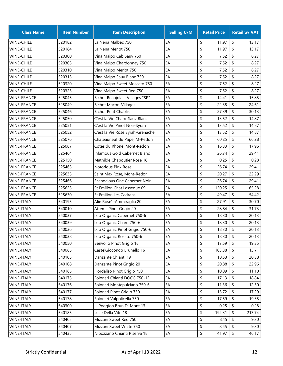| <b>Class Name</b>  | <b>Item Number</b> | <b>Item Description</b>          | <b>Selling U/M</b> | <b>Retail Price</b> |                            | <b>Retail w/ VAT</b> |
|--------------------|--------------------|----------------------------------|--------------------|---------------------|----------------------------|----------------------|
| <b>WINE-CHILE</b>  | 520182             | La Nena Malbec 750               | EA                 | \$<br>11.97         | \$                         | 13.17                |
| <b>WINE-CHILE</b>  | 520184             | La Nena Merlot 750               | EA                 | \$<br>11.97         | $\boldsymbol{\mathsf{S}}$  | 13.17                |
| <b>WINE-CHILE</b>  | 520300             | Vina Maipo Cab Sauv 750          | EA                 | \$<br>7.52          | \$                         | 8.27                 |
| <b>WINE-CHILE</b>  | 520305             | Vina Maipo Chardonnay 750        | EA                 | \$<br>7.52          | \$                         | 8.27                 |
| <b>WINE-CHILE</b>  | 520310             | Vina Maipo Merlot 750            | EA                 | \$<br>7.52          | \$                         | 8.27                 |
| <b>WINE-CHILE</b>  | 520315             | Vina Maipo Sauv Blanc 750        | EA                 | \$<br>7.52          | \$                         | 8.27                 |
| <b>WINE-CHILE</b>  | 520320             | Vina Maipo Sweet Moscato 750     | EA                 | \$<br>7.52          | \$                         | 8.27                 |
| <b>WINE-CHILE</b>  | 520325             | Vina Maipo Sweet Red 750         | EA                 | \$<br>7.52          | \$                         | 8.27                 |
| <b>WINE-FRANCE</b> | 525045             | Bichot Beaujolais-Villages "SP"  | EA                 | \$<br>14.41         | \$                         | 15.85                |
| <b>WINE-FRANCE</b> | 525049             | <b>Bichot Macon-Villages</b>     | EA                 | \$<br>22.38         | $\boldsymbol{\mathsf{S}}$  | 24.61                |
| <b>WINE-FRANCE</b> | 525046             | <b>Bichot Petit Chablis</b>      | EA                 | \$<br>27.39         | $\boldsymbol{\mathsf{S}}$  | 30.13                |
| <b>WINE-FRANCE</b> | 525050             | C'est la Vie Chard-Sauv Blanc    | EA                 | \$<br>13.52         | \$                         | 14.87                |
| <b>WINE-FRANCE</b> | 525051             | C'est la Vie Pinot Noir-Syrah    | EA                 | \$<br>13.52         | \$                         | 14.87                |
| <b>WINE-FRANCE</b> | 525052             | C'est la Vie Rose Syrah-Grenache | EA                 | \$<br>13.52         | \$                         | 14.87                |
| <b>WINE-FRANCE</b> | 525076             | Chateauneuf du Pape, M-Redon     | EA                 | \$<br>60.25         | \$                         | 66.28                |
| <b>WINE-FRANCE</b> | 525087             | Cotes du Rhone, Mont-Redon       | EA                 | \$<br>16.33         | \$                         | 17.96                |
| <b>WINE-FRANCE</b> | 525464             | Infamous Gold Cabernet Blanc     | EA                 | \$<br>26.74         | $\boldsymbol{\mathsf{S}}$  | 29.41                |
| <b>WINE-FRANCE</b> | 525150             | Mathilde Chapoutier Rose 18      | EA                 | \$<br>0.25          | \$                         | 0.28                 |
| <b>WINE-FRANCE</b> | 525465             | <b>Notorious Pink Rose</b>       | EA                 | \$<br>26.74         | \$                         | 29.41                |
| <b>WINE-FRANCE</b> | 525635             | Saint Max Rose, Mont-Redon       | EA                 | \$<br>20.27         | $\boldsymbol{\mathsf{S}}$  | 22.29                |
| <b>WINE-FRANCE</b> | 525466             | Scandalous One Cabernet Noir     | EA                 | \$<br>26.74         | $\boldsymbol{\mathsf{S}}$  | 29.41                |
| <b>WINE-FRANCE</b> | 525625             | St Emilion Chat Lassegue 09      | EA                 | \$<br>150.25        | \$                         | 165.28               |
| <b>WINE-FRANCE</b> | 525630             | <b>St Emilion Les Cadrans</b>    | EA                 | \$<br>49.47         | \$                         | 54.42                |
| <b>WINE-ITALY</b>  | 540195             | Alie Rose' - Ammiraglia 20       | EA                 | \$<br>27.91         | $\boldsymbol{\mathsf{S}}$  | 30.70                |
| <b>WINE-ITALY</b>  | 540010             | Attems Pinot Grigio 20           | EA                 | \$<br>28.84         | \$                         | 31.73                |
| <b>WINE-ITALY</b>  | 540037             | b.io Organic Cabernet 750-6      | EA                 | \$<br>18.30         | $\boldsymbol{\mathsf{S}}$  | 20.13                |
| <b>WINE-ITALY</b>  | 540039             | b.io Organic Chard 750-6         | EA                 | \$<br>18.30         | $\boldsymbol{\mathsf{S}}$  | 20.13                |
| <b>WINE-ITALY</b>  | 540036             | b.io Organic Pinot Grigio 750-6  | EA                 | \$<br>18.30         | \$                         | 20.13                |
| <b>WINE-ITALY</b>  | 540038             | b.io Organic Rosato 750-6        | EA                 | \$<br>18.30         | \$                         | 20.13                |
| <b>WINE-ITALY</b>  | 540050             | Benvolio Pinot Grigio 18         | EA                 | \$<br>17.59         | \$                         | 19.35                |
| <b>WINE-ITALY</b>  | 540065             | CastelGiocondo Brunello 16       | EA                 | \$<br>103.38        | \$                         | 113.71               |
| <b>WINE-ITALY</b>  | 540105             | Danzante Chianti 19              | EA                 | \$<br>18.53         | \$                         | 20.38                |
| <b>WINE-ITALY</b>  | 540108             | Danzante Pinot Grigio 20         | EA                 | \$<br>20.88         | \$                         | 22.96                |
| WINE-ITALY         | 540165             | Fiordaliso Pinot Grigio 750      | EA                 | \$<br>10.09         | \$                         | 11.10                |
| <b>WINE-ITALY</b>  | 540175             | Folonari Chianti DOCG 750-12     | EA                 | \$<br>17.13         | \$                         | 18.84                |
| <b>WINE-ITALY</b>  | 540176             | Folonari Montepulciano 750-6     | EA                 | \$<br>11.36         | \$                         | 12.50                |
| <b>WINE-ITALY</b>  | 540177             | Folonari Pinot Grigio 750        | EA                 | \$<br>15.72         | \$                         | 17.29                |
| WINE-ITALY         | 540178             | Folonari Valpolicella 750        | EA                 | \$<br>17.59         | \$                         | 19.35                |
| <b>WINE-ITALY</b>  | 540300             | IL Poggion Brun Di Mont 13       | EA                 | \$<br>0.25          | \$                         | 0.28                 |
| <b>WINE-ITALY</b>  | 540185             | Luce Della Vite 18               | EA                 | \$<br>194.31        | \$                         | 213.74               |
| <b>WINE-ITALY</b>  | 540405             | Mizzani Sweet Red 750            | EA                 | \$<br>8.45          | \$                         | 9.30                 |
| WINE-ITALY         | 540407             | Mizzani Sweet White 750          | EA                 | \$<br>8.45          | \$                         | 9.30                 |
| <b>WINE-ITALY</b>  | 540435             | Nipozzano Chianti Riserva 18     | EA                 | \$<br>41.97         | $\boldsymbol{\mathsf{\$}}$ | 46.17                |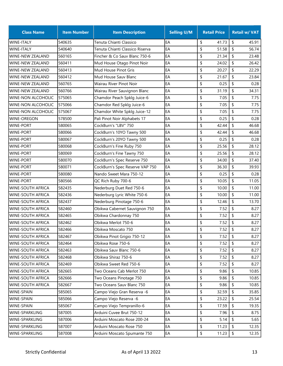| <b>Class Name</b>         | <b>Item Number</b> | <b>Item Description</b>         | <b>Selling U/M</b> | <b>Retail Price</b> | <b>Retail w/ VAT</b>                |
|---------------------------|--------------------|---------------------------------|--------------------|---------------------|-------------------------------------|
| <b>WINE-ITALY</b>         | 540635             | Tenuta Chianti Classico         | EA                 | \$<br>41.73         | \$<br>45.91                         |
| <b>WINE-ITALY</b>         | 540640             | Tenuta Chianti Classico Riserva | EA                 | \$<br>51.58         | \$<br>56.74                         |
| <b>WINE-NEW ZEALAND</b>   | 560165             | Fincher & Co Sauv Blanc 750-6   | EA                 | \$<br>21.34         | \$<br>23.48                         |
| <b>WINE-NEW ZEALAND</b>   | 560411             | Mud House Otago Pinot Noir      | EA                 | \$<br>24.02         | \$<br>26.42                         |
| <b>WINE-NEW ZEALAND</b>   | 560413             | Mud House Pinot Gris            | EA                 | \$<br>20.27         | \$<br>22.29                         |
| <b>WINE-NEW ZEALAND</b>   | 560412             | Mud House Sauv Blanc            | EA                 | \$<br>21.67         | \$<br>23.84                         |
| <b>WINE-NEW ZEALAND</b>   | 560765             | Wairau River Pinot Noir         | EA                 | \$<br>0.25          | \$<br>0.28                          |
| <b>WINE-NEW ZEALAND</b>   | 560766             | Wairau River Sauvignon Blanc    | EA                 | \$<br>31.19         | \$<br>34.31                         |
| <b>WINE-NON ALCOHOLIC</b> | 575065             | Chamdor Peach Spklg Juice-6     | EA                 | \$<br>7.05          | \$<br>7.75                          |
| <b>WINE-NON ALCOHOLIC</b> | 575066             | Chamdor Red Spklg Juice-6       | EA                 | \$<br>7.05          | \$<br>7.75                          |
| <b>WINE-NON ALCOHOLIC</b> | 575067             | Chamdor White Spklg Juice-12    | EA                 | \$<br>7.05          | \$<br>7.75                          |
| <b>WINE-OREGON</b>        | 578500             | Pali Pinot Noir Alphabets 17    | EA                 | 0.25<br>\$          | \$<br>0.28                          |
| <b>WINE-PORT</b>          | 580065             | CockBurn's "LBV" 750            | EA                 | \$<br>42.44         | \$<br>46.68                         |
| <b>WINE-PORT</b>          | 580066             | CockBurn's 10YO Tawny 500       | EA                 | \$<br>42.44         | \$<br>46.68                         |
| <b>WINE-PORT</b>          | 580067             | CockBurn's 20YO Tawny 500       | EA                 | \$<br>0.25          | \$<br>0.28                          |
| <b>WINE-PORT</b>          | 580068             | CockBurn's Fine Ruby 750        | EA                 | \$<br>25.56         | \$<br>28.12                         |
| <b>WINE-PORT</b>          | 580069             | CockBurn's Fine Tawny 750       | EA                 | \$<br>25.56         | \$<br>28.12                         |
| <b>WINE-PORT</b>          | 580070             | CockBurn's Spec Reserve 750     | EA                 | \$<br>34.00         | \$<br>37.40                         |
| <b>WINE-PORT</b>          | 580071             | CockBurn's Spec Reserve VAP 750 | EA                 | \$<br>36.30         | \$<br>39.93                         |
| WINE-PORT                 | 580080             | Nando Sweet Mara 750-12         | EA                 | 0.25<br>\$          | \$<br>0.28                          |
| <b>WINE-PORT</b>          | 580566             | QC Rich Ruby 700-6              | EA                 | \$<br>10.05         | \$<br>11.05                         |
| WINE-SOUTH AFRICA         | 582435             | Nederburg Duet Red 750-6        | EA                 | \$<br>10.00         | \$<br>11.00                         |
| <b>WINE-SOUTH AFRICA</b>  | 582436             | Nederburg Lyric White 750-6     | EA                 | \$<br>10.00         | \$<br>11.00                         |
| WINE-SOUTH AFRICA         | 582437             | Nederburg Pinotage 750-6        | EA                 | \$<br>12.46         | \$<br>13.70                         |
| <b>WINE-SOUTH AFRICA</b>  | 582460             | Obikwa Cabernet Sauvignon 750   | EA                 | \$<br>7.52          | \$<br>8.27                          |
| WINE-SOUTH AFRICA         | 582465             | Obikwa Chardonnay 750           | EA                 | \$<br>7.52          | \$<br>8.27                          |
| <b>WINE-SOUTH AFRICA</b>  | 582462             | Obikwa Merlot 750-6             | EA                 | \$<br>7.52          | \$<br>8.27                          |
| <b>WINE-SOUTH AFRICA</b>  | 582466             | Obikwa Moscato 750              | EA                 | \$<br>7.52          | \$<br>8.27                          |
| <b>WINE-SOUTH AFRICA</b>  | 582467             | Obikwa Pinot Grigio 750-12      | EA                 | \$<br>7.52          | \$<br>8.27                          |
| WINE-SOUTH AFRICA         | 582464             | Obikwa Rose 750-6               | EA                 | \$<br>7.52          | \$<br>8.27                          |
| <b>WINE-SOUTH AFRICA</b>  | 582463             | Obikwa Sauv Blanc 750-6         | EA                 | \$<br>7.52          | \$<br>8.27                          |
| <b>WINE-SOUTH AFRICA</b>  | 582468             | Obikwa Shiraz 750-6             | EA                 | \$<br>7.52          | \$<br>8.27                          |
| WINE-SOUTH AFRICA         | 582469             | Obikwa Sweet Red 750-6          | EA                 | \$<br>7.52          | \$<br>8.27                          |
| WINE-SOUTH AFRICA         | 582665             | Two Oceans Cab Merlot 750       | EA                 | \$<br>9.86          | \$<br>10.85                         |
| <b>WINE-SOUTH AFRICA</b>  | 582666             | Two Oceans Pinotage 750         | EA                 | \$<br>9.86          | \$<br>10.85                         |
| WINE-SOUTH AFRICA         | 582667             | Two Oceans Sauv Blanc 750       | EA                 | \$<br>9.86          | \$<br>10.85                         |
| WINE-SPAIN                | 585065             | Campo Viejo Gran Reserva -6     | EA                 | \$<br>32.59         | \$<br>35.85                         |
| WINE-SPAIN                | 585066             | Campo Viejo Reserva -6          | EA                 | \$<br>23.22         | \$<br>25.54                         |
| WINE-SPAIN                | 585067             | Campo Viejo Tempranillo-6       | EA                 | \$<br>17.59         | \$<br>19.35                         |
| WINE-SPARKLING            | 587005             | Arduini Cuvee Brut 750-12       | EA                 | \$<br>7.96          | \$<br>8.75                          |
| WINE-SPARKLING            | 587006             | Arduini Moscato Rose 200-24     | EA                 | \$<br>5.14          | \$<br>5.65                          |
| WINE-SPARKLING            | 587007             | Arduini Moscato Rose 750        | EA                 | \$<br>11.23         | \$<br>12.35                         |
| WINE-SPARKLING            | 587008             | Arduini Moscato Spumante 750    | EA                 | \$<br>11.23         | $\boldsymbol{\mathsf{\$}}$<br>12.35 |